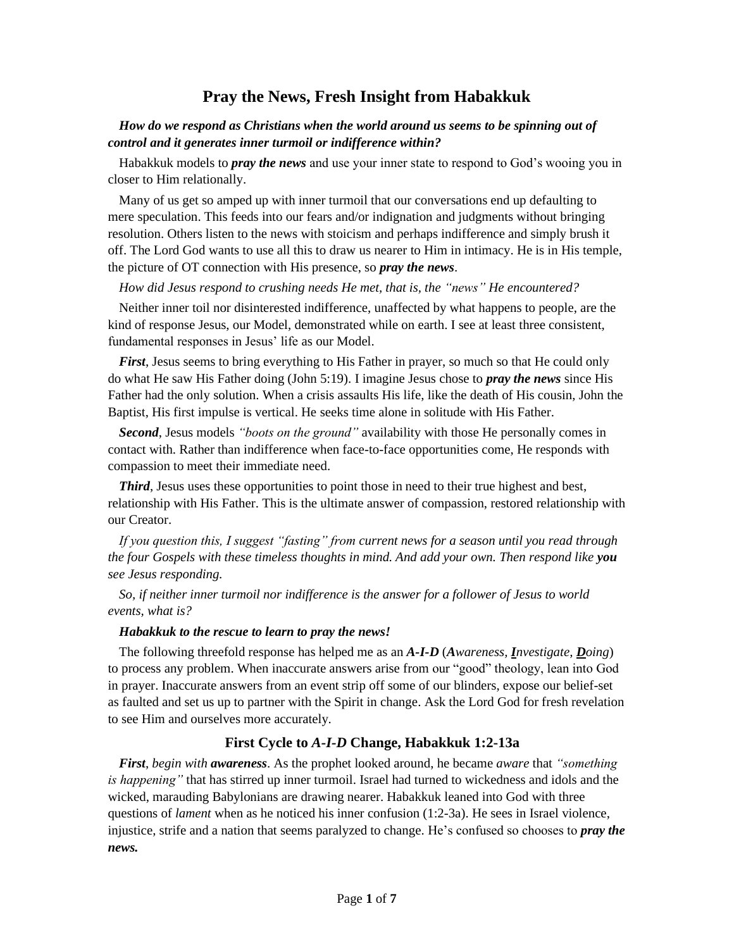# **Pray the News, Fresh Insight from Habakkuk**

## *How do we respond as Christians when the world around us seems to be spinning out of control and it generates inner turmoil or indifference within?*

Habakkuk models to *pray the news* and use your inner state to respond to God's wooing you in closer to Him relationally.

Many of us get so amped up with inner turmoil that our conversations end up defaulting to mere speculation. This feeds into our fears and/or indignation and judgments without bringing resolution. Others listen to the news with stoicism and perhaps indifference and simply brush it off. The Lord God wants to use all this to draw us nearer to Him in intimacy. He is in His temple, the picture of OT connection with His presence, so *pray the news*.

#### *How did Jesus respond to crushing needs He met, that is, the "news" He encountered?*

Neither inner toil nor disinterested indifference, unaffected by what happens to people, are the kind of response Jesus, our Model, demonstrated while on earth. I see at least three consistent, fundamental responses in Jesus' life as our Model.

*First*, Jesus seems to bring everything to His Father in prayer, so much so that He could only do what He saw His Father doing (John 5:19). I imagine Jesus chose to *pray the news* since His Father had the only solution. When a crisis assaults His life, like the death of His cousin, John the Baptist, His first impulse is vertical. He seeks time alone in solitude with His Father.

*Second*, Jesus models *"boots on the ground"* availability with those He personally comes in contact with. Rather than indifference when face-to-face opportunities come, He responds with compassion to meet their immediate need.

**Third**, Jesus uses these opportunities to point those in need to their true highest and best, relationship with His Father. This is the ultimate answer of compassion, restored relationship with our Creator.

*If you question this, I suggest "fasting" from current news for a season until you read through the four Gospels with these timeless thoughts in mind. And add your own. Then respond like you see Jesus responding.*

*So, if neither inner turmoil nor indifference is the answer for a follower of Jesus to world events, what is?*

#### *Habakkuk to the rescue to learn to pray the news!*

The following threefold response has helped me as an *A-I-D* (*Awareness, Investigate, Doing*) to process any problem. When inaccurate answers arise from our "good" theology, lean into God in prayer. Inaccurate answers from an event strip off some of our blinders, expose our belief-set as faulted and set us up to partner with the Spirit in change. Ask the Lord God for fresh revelation to see Him and ourselves more accurately.

#### **First Cycle to** *A-I-D* **Change, Habakkuk 1:2-13a**

*First*, *begin with awareness*. As the prophet looked around, he became *aware* that *"something is happening"* that has stirred up inner turmoil. Israel had turned to wickedness and idols and the wicked, marauding Babylonians are drawing nearer. Habakkuk leaned into God with three questions of *lament* when as he noticed his inner confusion (1:2-3a). He sees in Israel violence, injustice, strife and a nation that seems paralyzed to change. He's confused so chooses to *pray the news.*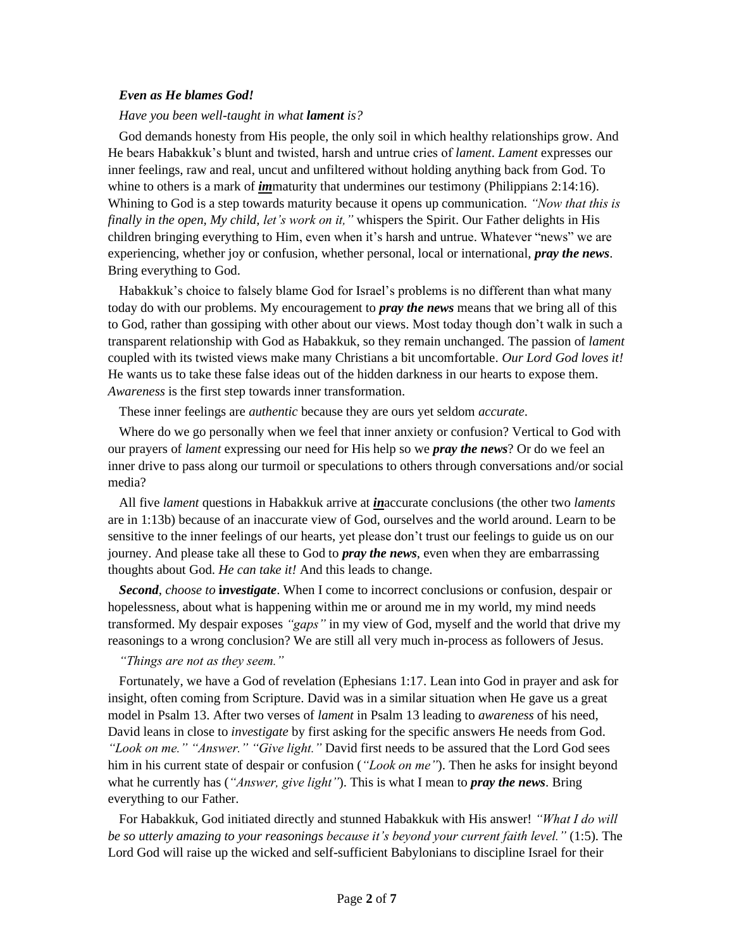#### *Even as He blames God!*

*Have you been well-taught in what lament is?* 

God demands honesty from His people, the only soil in which healthy relationships grow. And He bears Habakkuk's blunt and twisted, harsh and untrue cries of *lament*. *Lament* expresses our inner feelings, raw and real, uncut and unfiltered without holding anything back from God. To whine to others is a mark of *im*maturity that undermines our testimony (Philippians 2:14:16). Whining to God is a step towards maturity because it opens up communication. *"Now that this is finally in the open, My child, let's work on it,"* whispers the Spirit. Our Father delights in His children bringing everything to Him, even when it's harsh and untrue. Whatever "news" we are experiencing, whether joy or confusion, whether personal, local or international, *pray the news*. Bring everything to God.

Habakkuk's choice to falsely blame God for Israel's problems is no different than what many today do with our problems. My encouragement to *pray the news* means that we bring all of this to God, rather than gossiping with other about our views. Most today though don't walk in such a transparent relationship with God as Habakkuk, so they remain unchanged. The passion of *lament*  coupled with its twisted views make many Christians a bit uncomfortable. *Our Lord God loves it!* He wants us to take these false ideas out of the hidden darkness in our hearts to expose them. *Awareness* is the first step towards inner transformation.

These inner feelings are *authentic* because they are ours yet seldom *accurate*.

Where do we go personally when we feel that inner anxiety or confusion? Vertical to God with our prayers of *lament* expressing our need for His help so we *pray the news*? Or do we feel an inner drive to pass along our turmoil or speculations to others through conversations and/or social media?

All five *lament* questions in Habakkuk arrive at *in*accurate conclusions (the other two *laments*  are in 1:13b) because of an inaccurate view of God, ourselves and the world around. Learn to be sensitive to the inner feelings of our hearts, yet please don't trust our feelings to guide us on our journey. And please take all these to God to *pray the news*, even when they are embarrassing thoughts about God. *He can take it!* And this leads to change.

*Second*, *choose to* **i***nvestigate*. When I come to incorrect conclusions or confusion, despair or hopelessness, about what is happening within me or around me in my world, my mind needs transformed. My despair exposes *"gaps"* in my view of God, myself and the world that drive my reasonings to a wrong conclusion? We are still all very much in-process as followers of Jesus.

#### *"Things are not as they seem."*

Fortunately, we have a God of revelation (Ephesians 1:17. Lean into God in prayer and ask for insight, often coming from Scripture. David was in a similar situation when He gave us a great model in Psalm 13. After two verses of *lament* in Psalm 13 leading to *awareness* of his need, David leans in close to *investigate* by first asking for the specific answers He needs from God. *"Look on me." "Answer." "Give light."* David first needs to be assured that the Lord God sees him in his current state of despair or confusion (*"Look on me"*). Then he asks for insight beyond what he currently has (*"Answer, give light"*). This is what I mean to *pray the news*. Bring everything to our Father.

For Habakkuk, God initiated directly and stunned Habakkuk with His answer! *"What I do will be so utterly amazing to your reasonings because it's beyond your current faith level."* (1:5). The Lord God will raise up the wicked and self-sufficient Babylonians to discipline Israel for their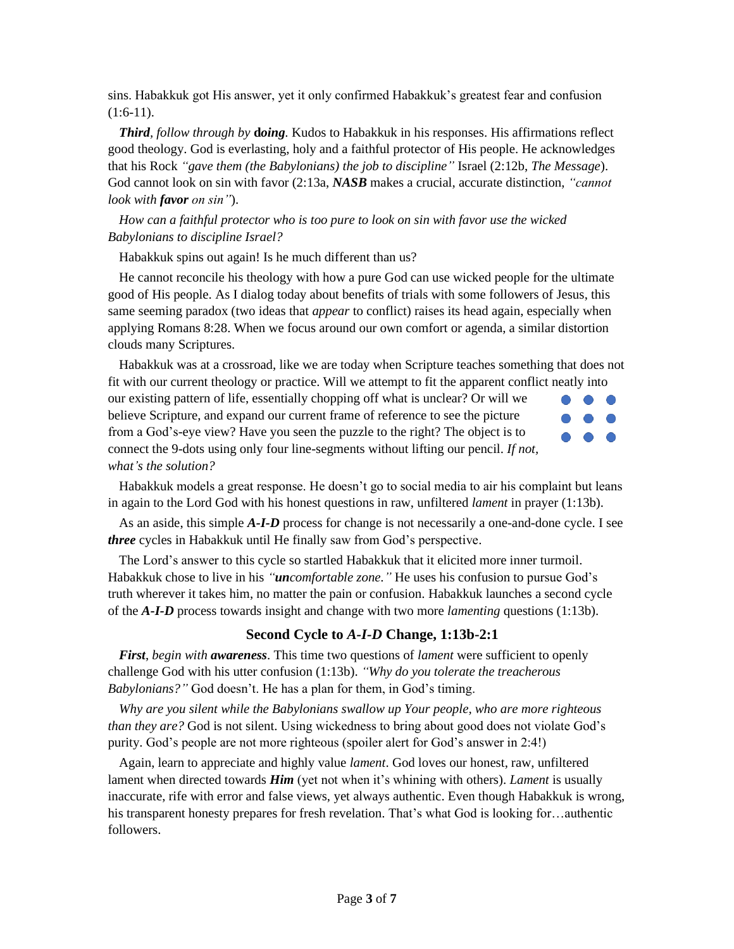sins. Habakkuk got His answer, yet it only confirmed Habakkuk's greatest fear and confusion  $(1:6-11)$ .

*Third, follow through by* **d***oing.* Kudos to Habakkuk in his responses. His affirmations reflect good theology. God is everlasting, holy and a faithful protector of His people. He acknowledges that his Rock *"gave them (the Babylonians) the job to discipline"* Israel (2:12b, *The Message*). God cannot look on sin with favor (2:13a, *NASB* makes a crucial, accurate distinction, *"cannot look with favor on sin"*).

# *How can a faithful protector who is too pure to look on sin with favor use the wicked Babylonians to discipline Israel?*

Habakkuk spins out again! Is he much different than us?

He cannot reconcile his theology with how a pure God can use wicked people for the ultimate good of His people. As I dialog today about benefits of trials with some followers of Jesus, this same seeming paradox (two ideas that *appear* to conflict) raises its head again, especially when applying Romans 8:28. When we focus around our own comfort or agenda, a similar distortion clouds many Scriptures.

Habakkuk was at a crossroad, like we are today when Scripture teaches something that does not fit with our current theology or practice. Will we attempt to fit the apparent conflict neatly into

our existing pattern of life, essentially chopping off what is unclear? Or will we believe Scripture, and expand our current frame of reference to see the picture from a God's-eye view? Have you seen the puzzle to the right? The object is to connect the 9-dots using only four line-segments without lifting our pencil. *If not, what's the solution?*



Habakkuk models a great response. He doesn't go to social media to air his complaint but leans in again to the Lord God with his honest questions in raw, unfiltered *lament* in prayer (1:13b).

As an aside, this simple *A-I-D* process for change is not necessarily a one-and-done cycle. I see *three* cycles in Habakkuk until He finally saw from God's perspective.

The Lord's answer to this cycle so startled Habakkuk that it elicited more inner turmoil. Habakkuk chose to live in his *"uncomfortable zone."* He uses his confusion to pursue God's truth wherever it takes him, no matter the pain or confusion. Habakkuk launches a second cycle of the *A-I-D* process towards insight and change with two more *lamenting* questions (1:13b).

# **Second Cycle to** *A-I-D* **Change, 1:13b-2:1**

*First*, *begin with awareness*. This time two questions of *lament* were sufficient to openly challenge God with his utter confusion (1:13b). *"Why do you tolerate the treacherous Babylonians?"* God doesn't. He has a plan for them, in God's timing.

*Why are you silent while the Babylonians swallow up Your people, who are more righteous than they are?* God is not silent. Using wickedness to bring about good does not violate God's purity. God's people are not more righteous (spoiler alert for God's answer in 2:4!)

Again, learn to appreciate and highly value *lament*. God loves our honest, raw, unfiltered lament when directed towards *Him* (yet not when it's whining with others). *Lament* is usually inaccurate, rife with error and false views, yet always authentic. Even though Habakkuk is wrong, his transparent honesty prepares for fresh revelation. That's what God is looking for…authentic followers.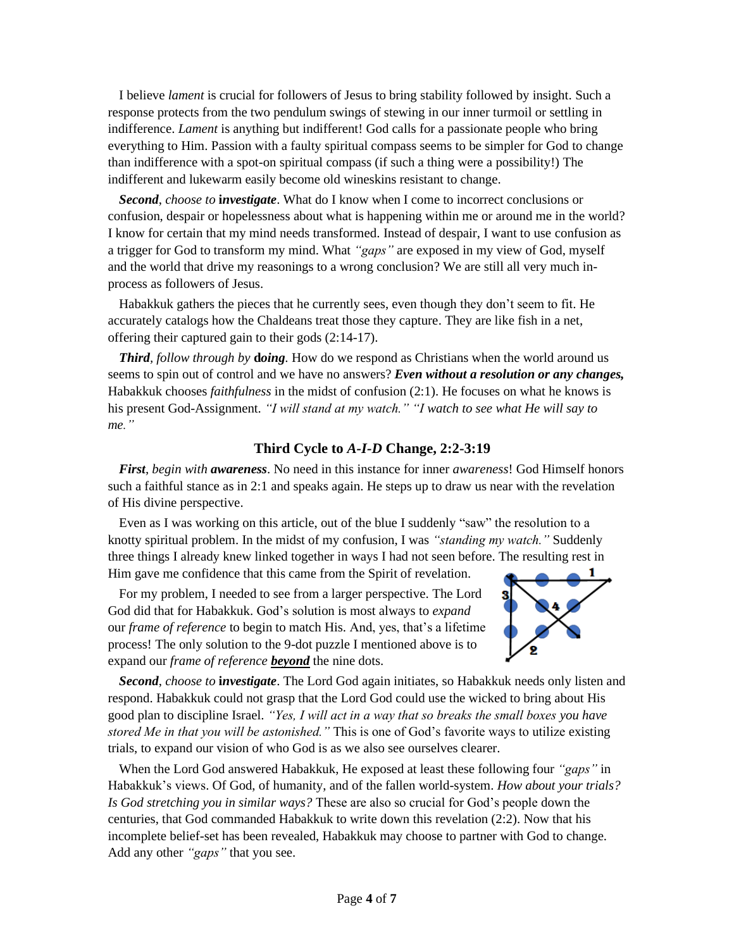I believe *lament* is crucial for followers of Jesus to bring stability followed by insight. Such a response protects from the two pendulum swings of stewing in our inner turmoil or settling in indifference. *Lament* is anything but indifferent! God calls for a passionate people who bring everything to Him. Passion with a faulty spiritual compass seems to be simpler for God to change than indifference with a spot-on spiritual compass (if such a thing were a possibility!) The indifferent and lukewarm easily become old wineskins resistant to change.

*Second*, *choose to* **i***nvestigate*. What do I know when I come to incorrect conclusions or confusion, despair or hopelessness about what is happening within me or around me in the world? I know for certain that my mind needs transformed. Instead of despair, I want to use confusion as a trigger for God to transform my mind. What *"gaps"* are exposed in my view of God, myself and the world that drive my reasonings to a wrong conclusion? We are still all very much inprocess as followers of Jesus.

Habakkuk gathers the pieces that he currently sees, even though they don't seem to fit. He accurately catalogs how the Chaldeans treat those they capture. They are like fish in a net, offering their captured gain to their gods (2:14-17).

*Third, follow through by <b>doing*. How do we respond as Christians when the world around us seems to spin out of control and we have no answers? *Even without a resolution or any changes,* Habakkuk chooses *faithfulness* in the midst of confusion (2:1). He focuses on what he knows is his present God-Assignment. *"I will stand at my watch." "I watch to see what He will say to me."*

### **Third Cycle to** *A-I-D* **Change, 2:2-3:19**

*First*, *begin with awareness*. No need in this instance for inner *awareness*! God Himself honors such a faithful stance as in 2:1 and speaks again. He steps up to draw us near with the revelation of His divine perspective.

Even as I was working on this article, out of the blue I suddenly "saw" the resolution to a knotty spiritual problem. In the midst of my confusion, I was *"standing my watch."* Suddenly three things I already knew linked together in ways I had not seen before. The resulting rest in Him gave me confidence that this came from the Spirit of revelation.

For my problem, I needed to see from a larger perspective. The Lord God did that for Habakkuk. God's solution is most always to *expand* our *frame of reference* to begin to match His. And, yes, that's a lifetime process! The only solution to the 9-dot puzzle I mentioned above is to expand our *frame of reference beyond* the nine dots.



*Second*, *choose to* **i***nvestigate*. The Lord God again initiates, so Habakkuk needs only listen and respond. Habakkuk could not grasp that the Lord God could use the wicked to bring about His good plan to discipline Israel. *"Yes, I will act in a way that so breaks the small boxes you have stored Me in that you will be astonished."* This is one of God's favorite ways to utilize existing trials, to expand our vision of who God is as we also see ourselves clearer.

When the Lord God answered Habakkuk, He exposed at least these following four *"gaps"* in Habakkuk's views. Of God, of humanity, and of the fallen world-system. *How about your trials? Is God stretching you in similar ways?* These are also so crucial for God's people down the centuries, that God commanded Habakkuk to write down this revelation (2:2). Now that his incomplete belief-set has been revealed, Habakkuk may choose to partner with God to change. Add any other *"gaps"* that you see.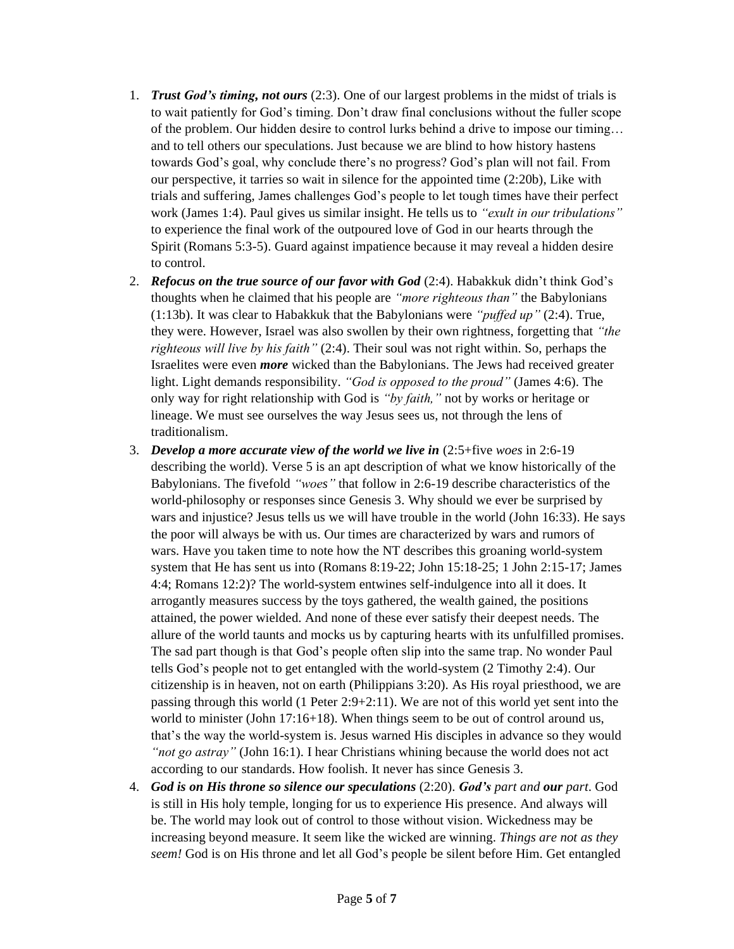- 1. *Trust God's timing, not ours* (2:3). One of our largest problems in the midst of trials is to wait patiently for God's timing. Don't draw final conclusions without the fuller scope of the problem. Our hidden desire to control lurks behind a drive to impose our timing… and to tell others our speculations. Just because we are blind to how history hastens towards God's goal, why conclude there's no progress? God's plan will not fail. From our perspective, it tarries so wait in silence for the appointed time (2:20b), Like with trials and suffering, James challenges God's people to let tough times have their perfect work (James 1:4). Paul gives us similar insight. He tells us to *"exult in our tribulations"* to experience the final work of the outpoured love of God in our hearts through the Spirit (Romans 5:3-5). Guard against impatience because it may reveal a hidden desire to control.
- 2. *Refocus on the true source of our favor with God* (2:4). Habakkuk didn't think God's thoughts when he claimed that his people are *"more righteous than"* the Babylonians (1:13b). It was clear to Habakkuk that the Babylonians were *"puffed up"* (2:4). True, they were. However, Israel was also swollen by their own rightness, forgetting that *"the righteous will live by his faith"* (2:4). Their soul was not right within. So, perhaps the Israelites were even *more* wicked than the Babylonians. The Jews had received greater light. Light demands responsibility. *"God is opposed to the proud"* (James 4:6). The only way for right relationship with God is *"by faith,"* not by works or heritage or lineage. We must see ourselves the way Jesus sees us, not through the lens of traditionalism.
- 3. *Develop a more accurate view of the world we live in* (2:5+five *woes* in 2:6-19 describing the world). Verse 5 is an apt description of what we know historically of the Babylonians. The fivefold *"woes"* that follow in 2:6-19 describe characteristics of the world-philosophy or responses since Genesis 3. Why should we ever be surprised by wars and injustice? Jesus tells us we will have trouble in the world (John 16:33). He says the poor will always be with us. Our times are characterized by wars and rumors of wars. Have you taken time to note how the NT describes this groaning world-system system that He has sent us into (Romans 8:19-22; John 15:18-25; 1 John 2:15-17; James 4:4; Romans 12:2)? The world-system entwines self-indulgence into all it does. It arrogantly measures success by the toys gathered, the wealth gained, the positions attained, the power wielded. And none of these ever satisfy their deepest needs. The allure of the world taunts and mocks us by capturing hearts with its unfulfilled promises. The sad part though is that God's people often slip into the same trap. No wonder Paul tells God's people not to get entangled with the world-system (2 Timothy 2:4). Our citizenship is in heaven, not on earth (Philippians 3:20). As His royal priesthood, we are passing through this world (1 Peter 2:9+2:11). We are not of this world yet sent into the world to minister (John 17:16+18). When things seem to be out of control around us, that's the way the world-system is. Jesus warned His disciples in advance so they would *"not go astray"* (John 16:1). I hear Christians whining because the world does not act according to our standards. How foolish. It never has since Genesis 3.
- 4. *God is on His throne so silence our speculations* (2:20). *God's part and our part*. God is still in His holy temple, longing for us to experience His presence. And always will be. The world may look out of control to those without vision. Wickedness may be increasing beyond measure. It seem like the wicked are winning. *Things are not as they seem!* God is on His throne and let all God's people be silent before Him. Get entangled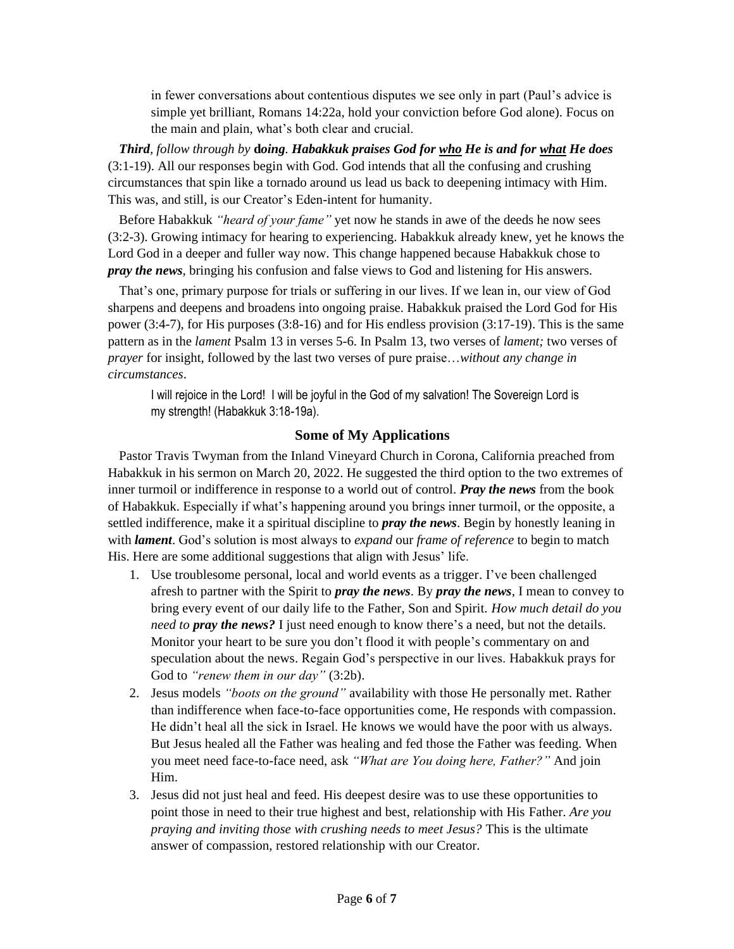in fewer conversations about contentious disputes we see only in part (Paul's advice is simple yet brilliant, Romans 14:22a, hold your conviction before God alone). Focus on the main and plain, what's both clear and crucial.

*Third, follow through by* **d***oing. Habakkuk praises God for who He is and for what He does* (3:1-19). All our responses begin with God. God intends that all the confusing and crushing circumstances that spin like a tornado around us lead us back to deepening intimacy with Him. This was, and still, is our Creator's Eden-intent for humanity.

Before Habakkuk *"heard of your fame"* yet now he stands in awe of the deeds he now sees (3:2-3). Growing intimacy for hearing to experiencing. Habakkuk already knew, yet he knows the Lord God in a deeper and fuller way now. This change happened because Habakkuk chose to *pray the news*, bringing his confusion and false views to God and listening for His answers.

That's one, primary purpose for trials or suffering in our lives. If we lean in, our view of God sharpens and deepens and broadens into ongoing praise. Habakkuk praised the Lord God for His power (3:4-7), for His purposes (3:8-16) and for His endless provision (3:17-19). This is the same pattern as in the *lament* Psalm 13 in verses 5-6. In Psalm 13, two verses of *lament;* two verses of *prayer* for insight, followed by the last two verses of pure praise…*without any change in circumstances*.

I will rejoice in the Lord! I will be joyful in the God of my salvation! The Sovereign Lord is my strength! (Habakkuk 3:18-19a).

### **Some of My Applications**

Pastor Travis Twyman from the Inland Vineyard Church in Corona, California preached from Habakkuk in his sermon on March 20, 2022. He suggested the third option to the two extremes of inner turmoil or indifference in response to a world out of control. *Pray the news* from the book of Habakkuk. Especially if what's happening around you brings inner turmoil, or the opposite, a settled indifference, make it a spiritual discipline to *pray the news*. Begin by honestly leaning in with *lament*. God's solution is most always to *expand* our *frame of reference* to begin to match His. Here are some additional suggestions that align with Jesus' life.

- 1. Use troublesome personal, local and world events as a trigger. I've been challenged afresh to partner with the Spirit to *pray the news*. By *pray the news*, I mean to convey to bring every event of our daily life to the Father, Son and Spirit. *How much detail do you need to pray the news?* I just need enough to know there's a need, but not the details. Monitor your heart to be sure you don't flood it with people's commentary on and speculation about the news. Regain God's perspective in our lives. Habakkuk prays for God to *"renew them in our day"* (3:2b).
- 2. Jesus models *"boots on the ground"* availability with those He personally met. Rather than indifference when face-to-face opportunities come, He responds with compassion. He didn't heal all the sick in Israel. He knows we would have the poor with us always. But Jesus healed all the Father was healing and fed those the Father was feeding. When you meet need face-to-face need, ask *"What are You doing here, Father?"* And join Him.
- 3. Jesus did not just heal and feed. His deepest desire was to use these opportunities to point those in need to their true highest and best, relationship with His Father. *Are you praying and inviting those with crushing needs to meet Jesus?* This is the ultimate answer of compassion, restored relationship with our Creator.